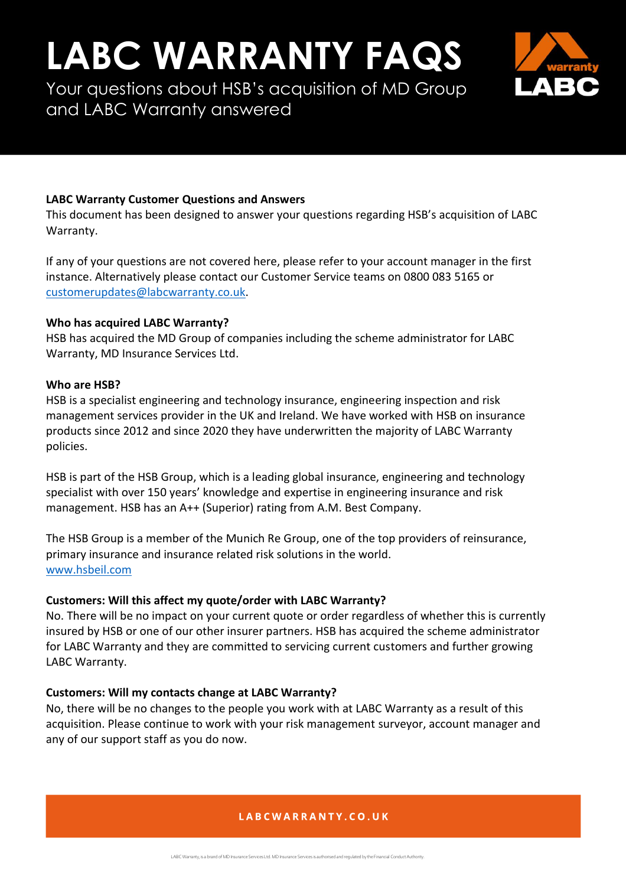# **LABC WARRANTY FAQS**

Your questions about HSB's acquisition of MD Group and LABC Warranty answered



### **LABC Warranty Customer Questions and Answers**

This document has been designed to answer your questions regarding HSB's acquisition of LABC Warranty.

If any of your questions are not covered here, please refer to your account manager in the first instance. Alternatively please contact our Customer Service teams on 0800 083 5165 or [customerupdates@labcwarranty.co.uk.](mailto:customerupdates@labcwarranty.co.uk)

#### **Who has acquired LABC Warranty?**

HSB has acquired the MD Group of companies including the scheme administrator for LABC Warranty, MD Insurance Services Ltd.

#### **Who are HSB?**

HSB is a specialist engineering and technology insurance, engineering inspection and risk management services provider in the UK and Ireland. We have worked with HSB on insurance products since 2012 and since 2020 they have underwritten the majority of LABC Warranty policies.

HSB is part of the HSB Group, which is a leading global insurance, engineering and technology specialist with over 150 years' knowledge and expertise in engineering insurance and risk management. HSB has an A++ (Superior) rating from A.M. Best Company.

The HSB Group is a member of the Munich Re Group, one of the top providers of reinsurance, primary insurance and insurance related risk solutions in the world. [www.hsbeil.com](https://www.munichre.com/hsbeil/en.html) 

## **Customers: Will this affect my quote/order with LABC Warranty?**

No. There will be no impact on your current quote or order regardless of whether this is currently insured by HSB or one of our other insurer partners. HSB has acquired the scheme administrator for LABC Warranty and they are committed to servicing current customers and further growing LABC Warranty.

## **Customers: Will my contacts change at LABC Warranty?**

No, there will be no changes to the people you work with at LABC Warranty as a result of this acquisition. Please continue to work with your risk management surveyor, account manager and any of our support staff as you do now.

## LABCWARRANTY.CO.UK